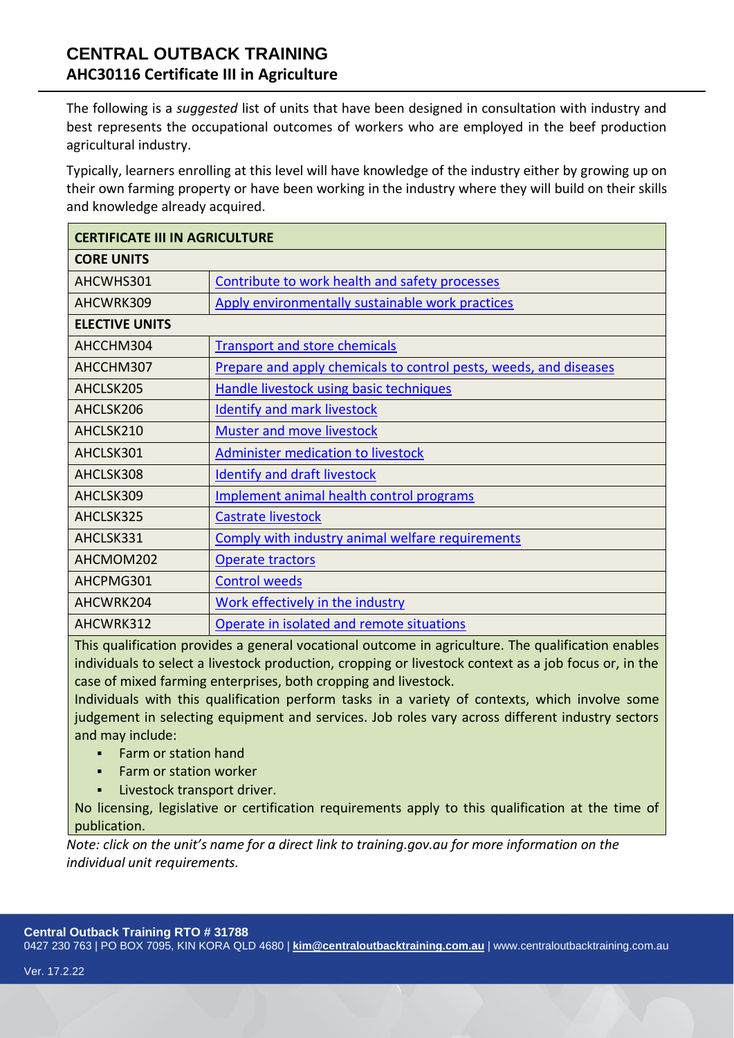# **CENTRAL OUTBACK TRAINING AHC30116 Certificate III in Agriculture**

The following is a *suggested* list of units that have been designed in consultation with industry and best represents the occupational outcomes of workers who are employed in the beef production agricultural industry.

Typically, learners enrolling at this level will have knowledge of the industry either by growing up on their own farming property or have been working in the industry where they will build on their skills and knowledge already acquired.

| <b>CERTIFICATE III IN AGRICULTURE</b> |                                                                          |
|---------------------------------------|--------------------------------------------------------------------------|
| <b>CORE UNITS</b>                     |                                                                          |
| AHCWHS301                             | Contribute to work health and safety processes                           |
| AHCWRK309                             | Apply environmentally sustainable work practices                         |
| <b>ELECTIVE UNITS</b>                 |                                                                          |
| AHCCHM304                             | <b>Transport and store chemicals</b>                                     |
| AHCCHM307                             | <b>Prepare and apply chemicals to control pests, weeds, and diseases</b> |
| AHCLSK205                             | <b>Handle livestock using basic techniques</b>                           |
| AHCLSK206                             | <b>Identify and mark livestock</b>                                       |
| AHCLSK210                             | Muster and move livestock                                                |
| AHCLSK301                             | <b>Administer medication to livestock</b>                                |
| AHCLSK308                             | <b>Identify and draft livestock</b>                                      |
| AHCLSK309                             | Implement animal health control programs                                 |
| AHCLSK325                             | <b>Castrate livestock</b>                                                |
| AHCLSK331                             | Comply with industry animal welfare requirements                         |
| AHCMOM202                             | Operate tractors                                                         |
| AHCPMG301                             | <b>Control weeds</b>                                                     |
| AHCWRK204                             | Work effectively in the industry                                         |
| AHCWRK312                             | Operate in isolated and remote situations                                |

This qualification provides a general vocational outcome in agriculture. The qualification enables individuals to select a livestock production, cropping or livestock context as a job focus or, in the case of mixed farming enterprises, both cropping and livestock.

Individuals with this qualification perform tasks in a variety of contexts, which involve some judgement in selecting equipment and services. Job roles vary across different industry sectors and may include:

- **Farm or station hand**
- **Farm or station worker**
- **·** Livestock transport driver.

No licensing, legislative or certification requirements apply to this qualification at the time of publication.

*Note: click on the unit's name for a direct link to training.gov.au for more information on the individual unit requirements.*

## **Central Outback Training RTO # 31788**

0427 230 763 | PO BOX 7095, KIN KORA QLD 4680 | **[kim@centraloutbacktraining.com.au](mailto:kim@centraloutbacktraining.com.au)** | www.centraloutbacktraining.com.au